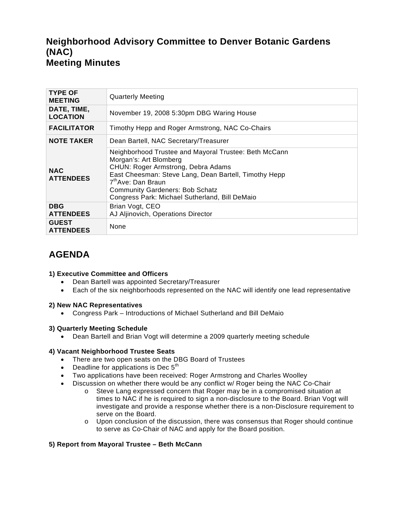# **Neighborhood Advisory Committee to Denver Botanic Gardens (NAC) Meeting Minutes**

| <b>TYPE OF</b><br><b>MEETING</b> | <b>Quarterly Meeting</b>                                                                                                                                                                                                                                                                                     |
|----------------------------------|--------------------------------------------------------------------------------------------------------------------------------------------------------------------------------------------------------------------------------------------------------------------------------------------------------------|
| DATE, TIME,<br><b>LOCATION</b>   | November 19, 2008 5:30pm DBG Waring House                                                                                                                                                                                                                                                                    |
| <b>FACILITATOR</b>               | Timothy Hepp and Roger Armstrong, NAC Co-Chairs                                                                                                                                                                                                                                                              |
| <b>NOTE TAKER</b>                | Dean Bartell, NAC Secretary/Treasurer                                                                                                                                                                                                                                                                        |
| <b>NAC</b><br><b>ATTENDEES</b>   | Neighborhood Trustee and Mayoral Trustee: Beth McCann<br>Morgan's: Art Blomberg<br>CHUN: Roger Armstrong, Debra Adams<br>East Cheesman: Steve Lang, Dean Bartell, Timothy Hepp<br>7 <sup>th</sup> Ave: Dan Braun<br><b>Community Gardeners: Bob Schatz</b><br>Congress Park: Michael Sutherland, Bill DeMaio |
| <b>DBG</b><br><b>ATTENDEES</b>   | Brian Vogt, CEO<br>AJ Aljinovich, Operations Director                                                                                                                                                                                                                                                        |
| <b>GUEST</b><br><b>ATTENDEES</b> | None                                                                                                                                                                                                                                                                                                         |

# **AGENDA**

### **1) Executive Committee and Officers**

- Dean Bartell was appointed Secretary/Treasurer
- Each of the six neighborhoods represented on the NAC will identify one lead representative

### **2) New NAC Representatives**

• Congress Park – Introductions of Michael Sutherland and Bill DeMaio

### **3) Quarterly Meeting Schedule**

• Dean Bartell and Brian Vogt will determine a 2009 quarterly meeting schedule

## **4) Vacant Neighborhood Trustee Seats**

- There are two open seats on the DBG Board of Trustees
- Deadline for applications is Dec  $5<sup>th</sup>$
- Two applications have been received: Roger Armstrong and Charles Woolley
- Discussion on whether there would be any conflict w/ Roger being the NAC Co-Chair
	- o Steve Lang expressed concern that Roger may be in a compromised situation at times to NAC if he is required to sign a non-disclosure to the Board. Brian Vogt will investigate and provide a response whether there is a non-Disclosure requirement to serve on the Board.
	- $\circ$  Upon conclusion of the discussion, there was consensus that Roger should continue to serve as Co-Chair of NAC and apply for the Board position.

## **5) Report from Mayoral Trustee – Beth McCann**